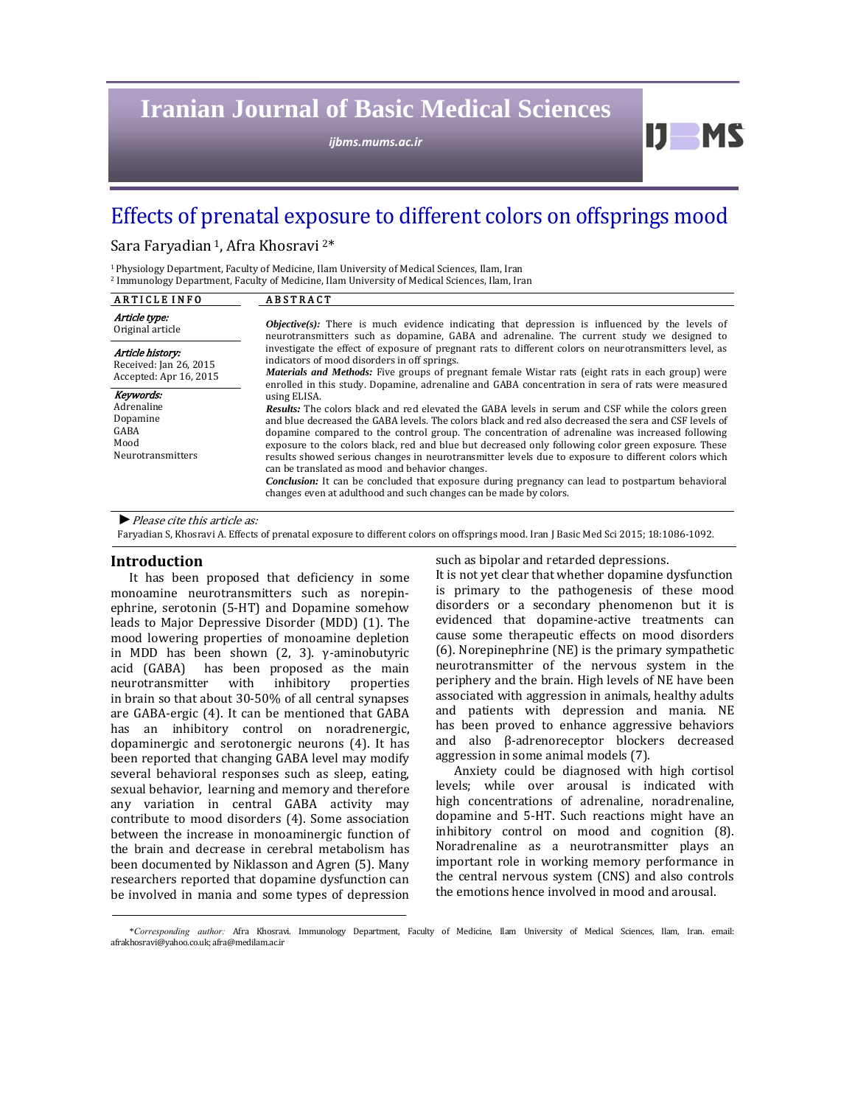# **Iranian Journal of Basic Medical Sciences**

*ijbms.mums.ac.ir*

## Effects of prenatal exposure to different colors on offsprings mood

## Sara Faryadian<sup>1</sup>, Afra Khosravi<sup>2\*</sup>

<sup>1</sup> Physiology Department, Faculty of Medicine, Ilam University of Medical Sciences, Ilam, Iran <sup>2</sup> Immunology Department, Faculty of Medicine, Ilam University of Medical Sciences, Ilam, Iran

| <b>ARTICLE INFO</b>                                                             | <b>ABSTRACT</b>                                                                                                                                                                                                                                                                                                                                                                                                                                                                                                                                                                                                                                                                                                                                                                         |
|---------------------------------------------------------------------------------|-----------------------------------------------------------------------------------------------------------------------------------------------------------------------------------------------------------------------------------------------------------------------------------------------------------------------------------------------------------------------------------------------------------------------------------------------------------------------------------------------------------------------------------------------------------------------------------------------------------------------------------------------------------------------------------------------------------------------------------------------------------------------------------------|
| Article type:<br>Original article                                               | <b><i>Objective(s):</i></b> There is much evidence indicating that depression is influenced by the levels of<br>neurotransmitters such as dopamine, GABA and adrenaline. The current study we designed to                                                                                                                                                                                                                                                                                                                                                                                                                                                                                                                                                                               |
| Article history:<br>Received: Jan 26, 2015<br>Accepted: Apr 16, 2015            | investigate the effect of exposure of pregnant rats to different colors on neurotransmitters level, as<br>indicators of mood disorders in off springs.<br><i>Materials and Methods:</i> Five groups of pregnant female Wistar rats (eight rats in each group) were<br>enrolled in this study. Dopamine, adrenaline and GABA concentration in sera of rats were measured                                                                                                                                                                                                                                                                                                                                                                                                                 |
| Keywords:<br>Adrenaline<br>Dopamine<br>GABA<br>Mood<br><b>Neurotransmitters</b> | using ELISA.<br><b>Results:</b> The colors black and red elevated the GABA levels in serum and CSF while the colors green<br>and blue decreased the GABA levels. The colors black and red also decreased the sera and CSF levels of<br>dopamine compared to the control group. The concentration of adrenaline was increased following<br>exposure to the colors black, red and blue but decreased only following color green exposure. These<br>results showed serious changes in neurotransmitter levels due to exposure to different colors which<br>can be translated as mood and behavior changes.<br><b>Conclusion:</b> It can be concluded that exposure during pregnancy can lead to postpartum behavioral<br>changes even at adulthood and such changes can be made by colors. |

▶ Please cite this article as:

Faryadian S, Khosravi A. Effects of prenatal exposure to different colors on offsprings mood. Iran J Basic Med Sci 2015; 18:1086-1092.

#### **Introduction**

It has been proposed that deficiency in some monoamine neurotransmitters such as norepinephrine, serotonin (5-HT) and Dopamine somehow leads to Major Depressive Disorder (MDD) (1). The mood lowering properties of monoamine depletion in MDD has been shown  $(2, 3)$ .  $\gamma$ -aminobutyric acid (GABA) has been proposed as the main neurotransmitter with inhibitory properties in brain so that about 30-50% of all central synapses are GABA-ergic (4). It can be mentioned that GABA has an inhibitory control on noradrenergic, dopaminergic and serotonergic neurons (4). It has been reported that changing GABA level may modify several behavioral responses such as sleep, eating, sexual behavior, learning and memory and therefore any variation in central GABA activity may contribute to mood disorders (4). Some association between the increase in monoaminergic function of the brain and decrease in cerebral metabolism has been documented by Niklasson and Agren (5). Many researchers reported that dopamine dysfunction can be involved in mania and some types of depression

such as bipolar and retarded depressions.

It is not yet clear that whether dopamine dysfunction is primary to the pathogenesis of these mood disorders or a secondary phenomenon but it is evidenced that dopamine-active treatments can cause some therapeutic effects on mood disorders (6). Norepinephrine (NE) is the primary sympathetic neurotransmitter of the nervous system in the periphery and the brain. High levels of NE have been associated with aggression in animals, healthy adults and patients with depression and mania. NE has been proved to enhance aggressive behaviors and also β-adrenoreceptor blockers decreased aggression in some animal models (7).

 $U$  MS

Anxiety could be diagnosed with high cortisol levels; while over arousal is indicated with high concentrations of adrenaline, noradrenaline, dopamine and 5-HT. Such reactions might have an inhibitory control on mood and cognition (8). Noradrenaline as a neurotransmitter plays an important role in working memory performance in the central nervous system (CNS) and also controls the emotions hence involved in mood and arousal.

<sup>\*</sup>Corresponding author: Afra Khosravi. Immunology Department, Faculty of Medicine, Ilam University of Medical Sciences, Ilam, Iran. email: afrakhosravi@yahoo.co.uk; afra@medilam.ac.ir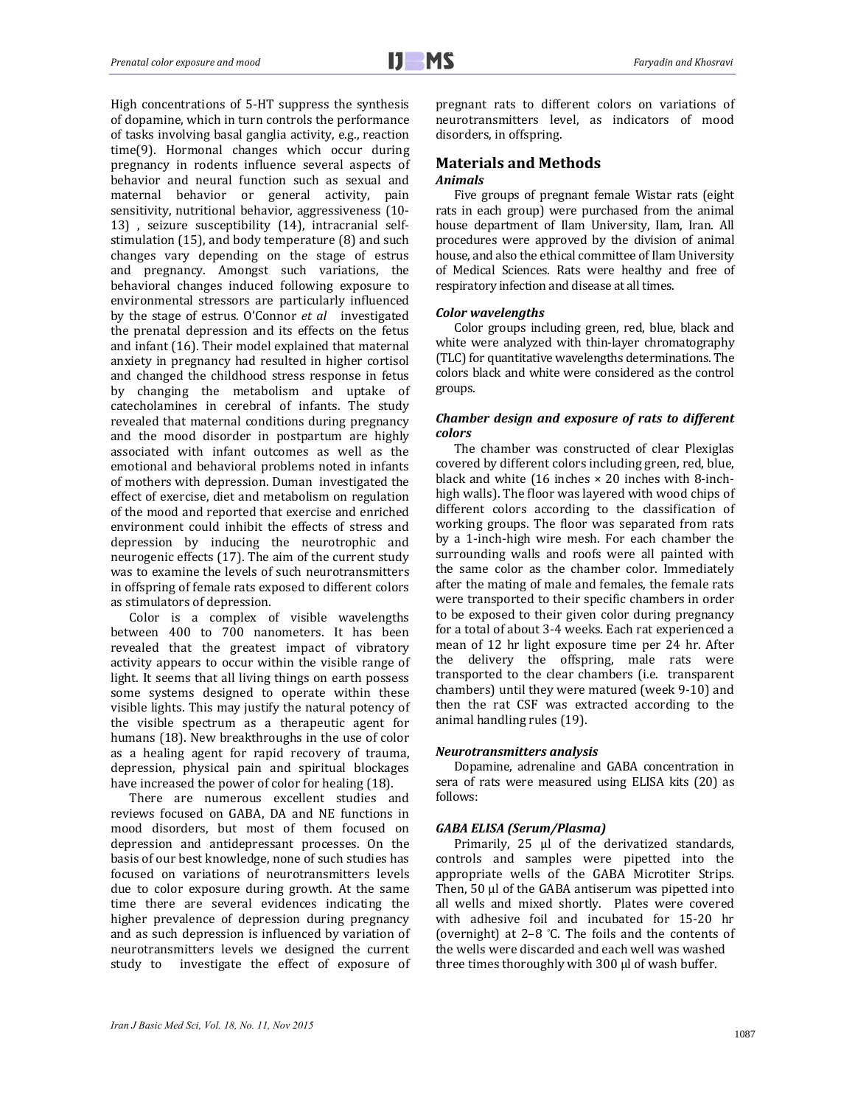High concentrations of 5-HT suppress the synthesis of dopamine, which in turn controls the performance of tasks involving basal ganglia activity, e.g., reaction time(9). Hormonal changes which occur during pregnancy in rodents influence several aspects of behavior and neural function such as sexual and maternal behavior or general activity, pain sensitivity, nutritional behavior, aggressiveness (10-13) , seizure susceptibility (14), intracranial selfstimulation  $(15)$ , and body temperature  $(8)$  and such changes vary depending on the stage of estrus and pregnancy. Amongst such variations, the behavioral changes induced following exposure to environmental stressors are particularly influenced by the stage of estrus. O'Connor *et al* investigated the prenatal depression and its effects on the fetus and infant (16). Their model explained that maternal anxiety in pregnancy had resulted in higher cortisol and changed the childhood stress response in fetus by changing the metabolism and uptake of catecholamines in cerebral of infants. The study revealed that maternal conditions during pregnancy and the mood disorder in postpartum are highly associated with infant outcomes as well as the emotional and behavioral problems noted in infants of mothers with depression. Duman investigated the effect of exercise, diet and metabolism on regulation of the mood and reported that exercise and enriched environment could inhibit the effects of stress and depression by inducing the neurotrophic and neurogenic effects  $(17)$ . The aim of the current study was to examine the levels of such neurotransmitters in offspring of female rats exposed to different colors as stimulators of depression.

Color is a complex of visible wavelengths between 400 to 700 nanometers. It has been revealed that the greatest impact of vibratory activity appears to occur within the visible range of light. It seems that all living things on earth possess some systems designed to operate within these visible lights. This may justify the natural potency of the visible spectrum as a therapeutic agent for humans (18). New breakthroughs in the use of color as a healing agent for rapid recovery of trauma, depression, physical pain and spiritual blockages have increased the power of color for healing (18).

There are numerous excellent studies and reviews focused on GABA, DA and NE functions in mood disorders, but most of them focused on depression and antidepressant processes. On the basis of our best knowledge, none of such studies has focused on variations of neurotransmitters levels due to color exposure during growth. At the same time there are several evidences indicating the higher prevalence of depression during pregnancy and as such depression is influenced by variation of neurotransmitters levels we designed the current study to investigate the effect of exposure of pregnant rats to different colors on variations of neurotransmitters level, as indicators of mood disorders, in offspring.

## **Materials and Methods**

#### *Animals*

Five groups of pregnant female Wistar rats (eight) rats in each group) were purchased from the animal house department of Ilam University, Ilam, Iran. All procedures were approved by the division of animal house, and also the ethical committee of Ilam University of Medical Sciences. Rats were healthy and free of respiratory infection and disease at all times.

#### *Color wavelengths*

Color groups including green, red, blue, black and white were analyzed with thin-layer chromatography (TLC) for quantitative wavelengths determinations. The colors black and white were considered as the control groups. 

#### *Chamber design and exposure of rats to different colors*

The chamber was constructed of clear Plexiglas covered by different colors including green, red, blue, black and white  $(16 \text{ inches} \times 20 \text{ inches with } 8\text{-inch}$ high walls). The floor was layered with wood chips of different colors according to the classification of working groups. The floor was separated from rats by a 1-inch-high wire mesh. For each chamber the surrounding walls and roofs were all painted with the same color as the chamber color. Immediately after the mating of male and females, the female rats were transported to their specific chambers in order to be exposed to their given color during pregnancy for a total of about 3-4 weeks. Each rat experienced a mean of 12 hr light exposure time per 24 hr. After the delivery the offspring, male rats were transported to the clear chambers (i.e. transparent chambers) until they were matured (week 9-10) and then the rat CSF was extracted according to the animal handling rules (19).

#### *Neurotransmitters analysis*

Dopamine, adrenaline and GABA concentration in sera of rats were measured using ELISA kits (20) as follows: 

#### *GABA ELISA (Serum/Plasma)*

Primarily,  $25$   $\mu$ l of the derivatized standards, controls and samples were pipetted into the appropriate wells of the GABA Microtiter Strips. Then,  $50 \mu$  of the GABA antiserum was pipetted into all wells and mixed shortly. Plates were covered with adhesive foil and incubated for 15-20 hr (overnight) at  $2-8$  °C. The foils and the contents of the wells were discarded and each well was washed three times thoroughly with 300 µl of wash buffer.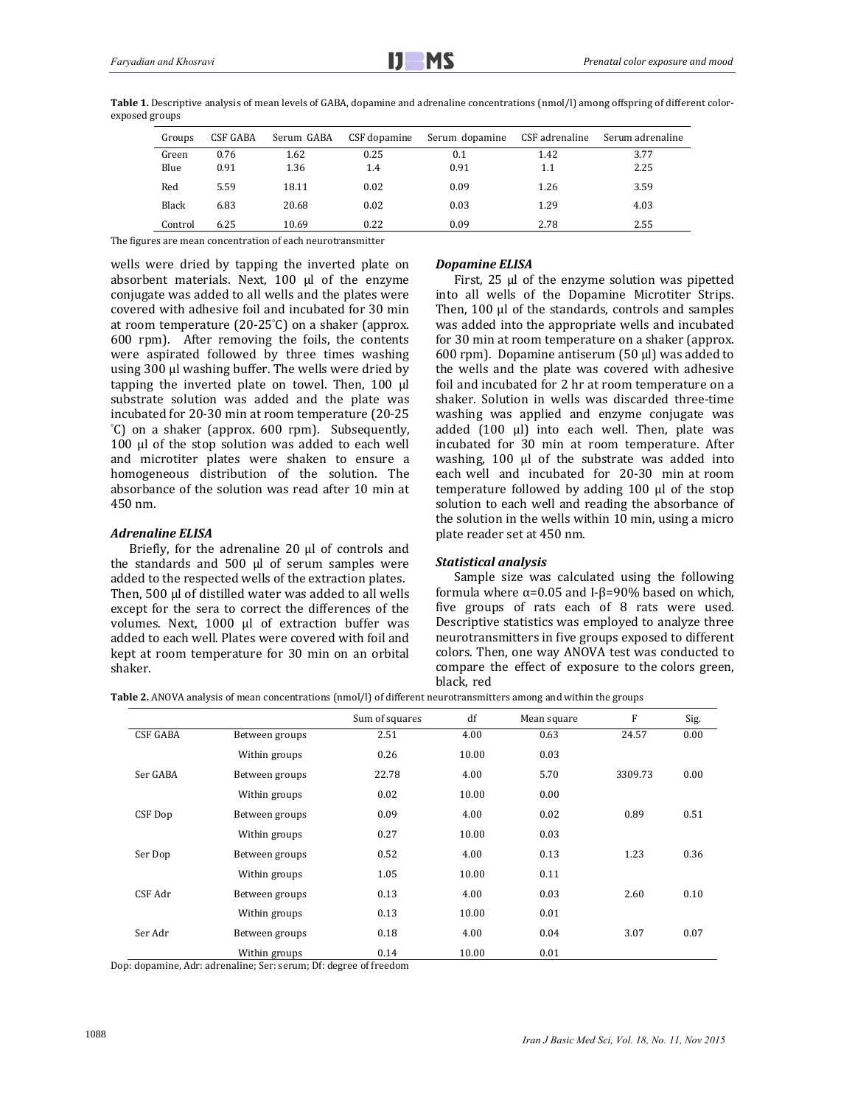| Groups  | CSF GABA | Serum GABA | CSF dopamine | Serum dopamine | CSF adrenaline | Serum adrenaline |
|---------|----------|------------|--------------|----------------|----------------|------------------|
| Green   | 0.76     | 1.62       | 0.25         | 0.1            | 1.42           | 3.77             |
| Blue    | 0.91     | 1.36       | 1.4          | 0.91           | 1.1            | 2.25             |
| Red     | 5.59     | 18.11      | 0.02         | 0.09           | 1.26           | 3.59             |
| Black   | 6.83     | 20.68      | 0.02         | 0.03           | 1.29           | 4.03             |
| Control | 6.25     | 10.69      | 0.22         | 0.09           | 2.78           | 2.55             |

**Table 1.** Descriptive analysis of mean levels of GABA, dopamine and adrenaline concentrations  $\text{(nmol/l)}$  among offspring of different colorexposed groups

The figures are mean concentration of each neurotransmitter

wells were dried by tapping the inverted plate on absorbent materials. Next,  $100$   $\mu$ l of the enzyme conjugate was added to all wells and the plates were covered with adhesive foil and incubated for 30 min at room temperature  $(20-25^{\circ}C)$  on a shaker (approx. 600 rpm). After removing the foils, the contents were aspirated followed by three times washing using 300 µl washing buffer. The wells were dried by tapping the inverted plate on towel. Then,  $100 \mu l$ substrate solution was added and the plate was incubated for 20-30 min at room temperature (20-25 ° C) on a shaker (approx. 600 rpm). Subsequently,  $100$   $\mu$ l of the stop solution was added to each well and microtiter plates were shaken to ensure a homogeneous distribution of the solution. The absorbance of the solution was read after 10 min at 450 nm. 

#### *Adrenaline ELISA*

Briefly, for the adrenaline  $20 \mu$  of controls and the standards and  $500$   $\mu$ l of serum samples were added to the respected wells of the extraction plates. Then,  $500 \mu l$  of distilled water was added to all wells except for the sera to correct the differences of the volumes. Next, 1000 µl of extraction buffer was added to each well. Plates were covered with foil and kept at room temperature for 30 min on an orbital shaker. 

#### *Dopamine ELISA*

First,  $25 \mu l$  of the enzyme solution was pipetted into all wells of the Dopamine Microtiter Strips. Then, 100 ul of the standards, controls and samples was added into the appropriate wells and incubated for 30 min at room temperature on a shaker (approx. 600 rpm). Dopamine antiserum  $(50 \mu l)$  was added to the wells and the plate was covered with adhesive foil and incubated for 2 hr at room temperature on a shaker. Solution in wells was discarded three-time washing was applied and enzyme conjugate was added  $(100 \mu l)$  into each well. Then, plate was incubated for 30 min at room temperature. After washing,  $100$  µl of the substrate was added into each well and incubated for 20-30 min at room temperature followed by adding  $100 \mu$  of the stop solution to each well and reading the absorbance of the solution in the wells within 10 min, using a micro plate reader set at 450 nm.

#### *Statistical analysis*

Sample size was calculated using the following formula where  $\alpha$ =0.05 and I-β=90% based on which, five groups of rats each of 8 rats were used. Descriptive statistics was employed to analyze three neurotransmitters in five groups exposed to different colors. Then, one way ANOVA test was conducted to compare the effect of exposure to the colors green, black, red 

**Table 2.** ANOVA analysis of mean concentrations  $(nmod/1)$  of different neurotransmitters among and within the groups

|                 |                | Sum of squares | df    | Mean square | F       | Sig. |
|-----------------|----------------|----------------|-------|-------------|---------|------|
| <b>CSF GABA</b> | Between groups | 2.51           | 4.00  | 0.63        | 24.57   | 0.00 |
|                 | Within groups  | 0.26           | 10.00 | 0.03        |         |      |
| Ser GABA        | Between groups | 22.78          | 4.00  | 5.70        | 3309.73 | 0.00 |
|                 | Within groups  | 0.02           | 10.00 | 0.00        |         |      |
| CSF Dop         | Between groups | 0.09           | 4.00  | 0.02        | 0.89    | 0.51 |
|                 | Within groups  | 0.27           | 10.00 | 0.03        |         |      |
| Ser Dop         | Between groups | 0.52           | 4.00  | 0.13        | 1.23    | 0.36 |
|                 | Within groups  | 1.05           | 10.00 | 0.11        |         |      |
| CSF Adr         | Between groups | 0.13           | 4.00  | 0.03        | 2.60    | 0.10 |
|                 | Within groups  | 0.13           | 10.00 | 0.01        |         |      |
| Ser Adr         | Between groups | 0.18           | 4.00  | 0.04        | 3.07    | 0.07 |
|                 | Within groups  | 0.14           | 10.00 | 0.01        |         |      |

Dop: dopamine, Adr: adrenaline; Ser: serum; Df: degree of freedom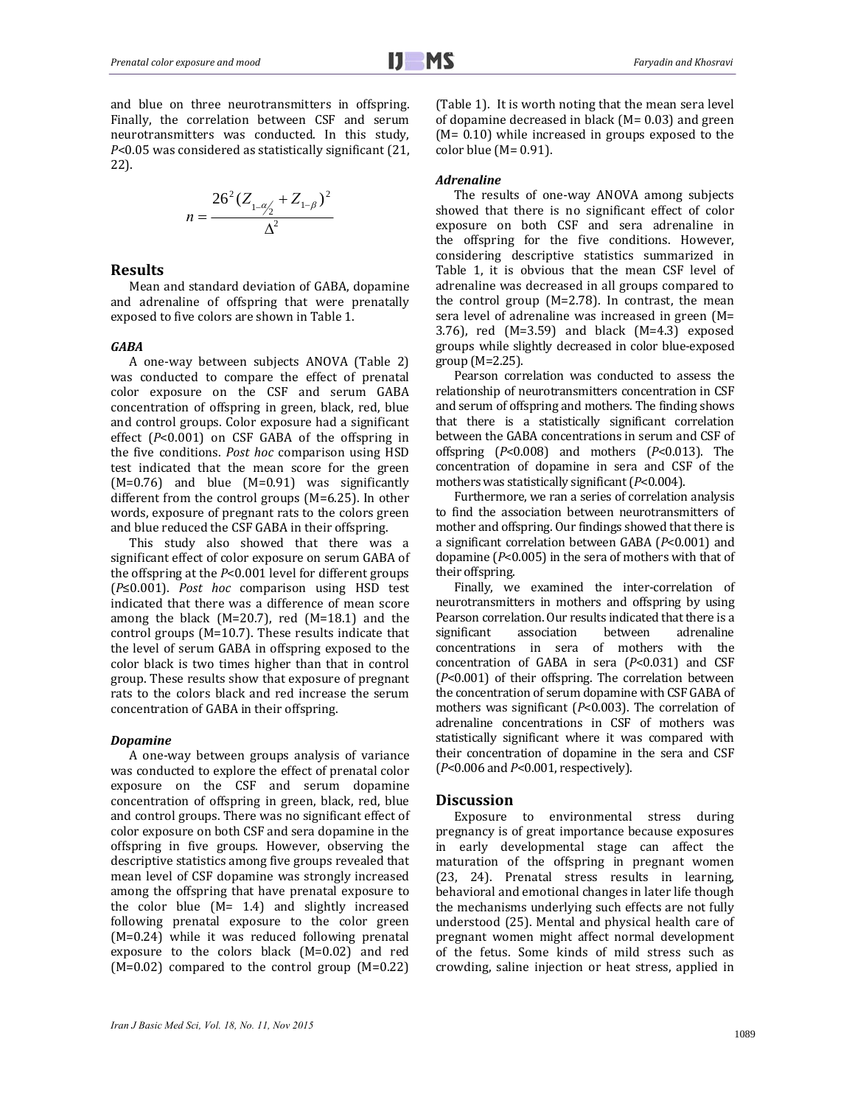and blue on three neurotransmitters in offspring. Finally, the correlation between CSF and serum neurotransmitters was conducted. In this study, *P*<0.05 was considered as statistically significant (21, 22). 

$$
n = \frac{26^{2} (Z_{1-\frac{\alpha}{2}} + Z_{1-\beta})^{2}}{\Delta^{2}}
$$

#### **Results**

Mean and standard deviation of GABA, dopamine and adrenaline of offspring that were prenatally exposed to five colors are shown in Table 1.

#### *GABA*

A one-way between subjects ANOVA (Table 2) was conducted to compare the effect of prenatal color exposure on the CSF and serum GABA concentration of offspring in green, black, red, blue and control groups. Color exposure had a significant effect  $(P<0.001)$  on CSF GABA of the offspring in the five conditions. *Post hoc* comparison using HSD test indicated that the mean score for the green  $(M=0.76)$  and blue  $(M=0.91)$  was significantly different from the control groups  $(M=6.25)$ . In other words, exposure of pregnant rats to the colors green and blue reduced the CSF GABA in their offspring.

This study also showed that there was a significant effect of color exposure on serum GABA of the offspring at the  $P<0.001$  level for different groups (*P*≤0.001). *Post hoc* comparison using HSD test indicated that there was a difference of mean score among the black  $(M=20.7)$ , red  $(M=18.1)$  and the control groups  $(M=10.7)$ . These results indicate that the level of serum GABA in offspring exposed to the color black is two times higher than that in control group. These results show that exposure of pregnant rats to the colors black and red increase the serum concentration of GABA in their offspring.

#### *Dopamine*

A one-way between groups analysis of variance was conducted to explore the effect of prenatal color exposure on the CSF and serum dopamine concentration of offspring in green, black, red, blue and control groups. There was no significant effect of color exposure on both CSF and sera dopamine in the offspring in five groups. However, observing the descriptive statistics among five groups revealed that mean level of CSF dopamine was strongly increased among the offspring that have prenatal exposure to the color blue  $(M= 1.4)$  and slightly increased following prenatal exposure to the color green  $(M=0.24)$  while it was reduced following prenatal exposure to the colors black  $(M=0.02)$  and red  $(M=0.02)$  compared to the control group  $(M=0.22)$ 

(Table 1). It is worth noting that the mean sera level of dopamine decreased in black  $(M= 0.03)$  and green  $(M= 0.10)$  while increased in groups exposed to the color blue  $(M=0.91)$ .

#### *Adrenaline*

The results of one-way ANOVA among subjects showed that there is no significant effect of color exposure on both CSF and sera adrenaline in the offspring for the five conditions. However, considering descriptive statistics summarized in Table 1, it is obvious that the mean CSF level of adrenaline was decreased in all groups compared to the control group  $(M=2.78)$ . In contrast, the mean sera level of adrenaline was increased in green  $(M=$ 3.76), red  $(M=3.59)$  and black  $(M=4.3)$  exposed groups while slightly decreased in color blue-exposed  $group(M=2.25)$ .

Pearson correlation was conducted to assess the relationship of neurotransmitters concentration in CSF and serum of offspring and mothers. The finding shows that there is a statistically significant correlation between the GABA concentrations in serum and CSF of offspring  $(P<0.008)$  and mothers  $(P<0.013)$ . The concentration of dopamine in sera and CSF of the mothers was statistically significant ( $P<0.004$ ).

Furthermore, we ran a series of correlation analysis to find the association between neurotransmitters of mother and offspring. Our findings showed that there is a significant correlation between GABA ( $P$ <0.001) and dopamine  $(P<0.005)$  in the sera of mothers with that of their offspring.

Finally, we examined the inter-correlation of neurotransmitters in mothers and offspring by using Pearson correlation. Our results indicated that there is a significant association between adrenaline concentrations in sera of mothers with the concentration of GABA in sera ( $P$ <0.031) and CSF  $(P<0.001)$  of their offspring. The correlation between the concentration of serum dopamine with CSF GABA of mothers was significant  $(P<0.003)$ . The correlation of adrenaline concentrations in CSF of mothers was statistically significant where it was compared with their concentration of dopamine in the sera and CSF ( $P$ <0.006 and  $P$ <0.001, respectively).

#### **Discussion**

Exposure to environmental stress during pregnancy is of great importance because exposures in early developmental stage can affect the maturation of the offspring in pregnant women (23, 24). Prenatal stress results in learning, behavioral and emotional changes in later life though the mechanisms underlying such effects are not fully understood (25). Mental and physical health care of pregnant women might affect normal development of the fetus. Some kinds of mild stress such as crowding, saline injection or heat stress, applied in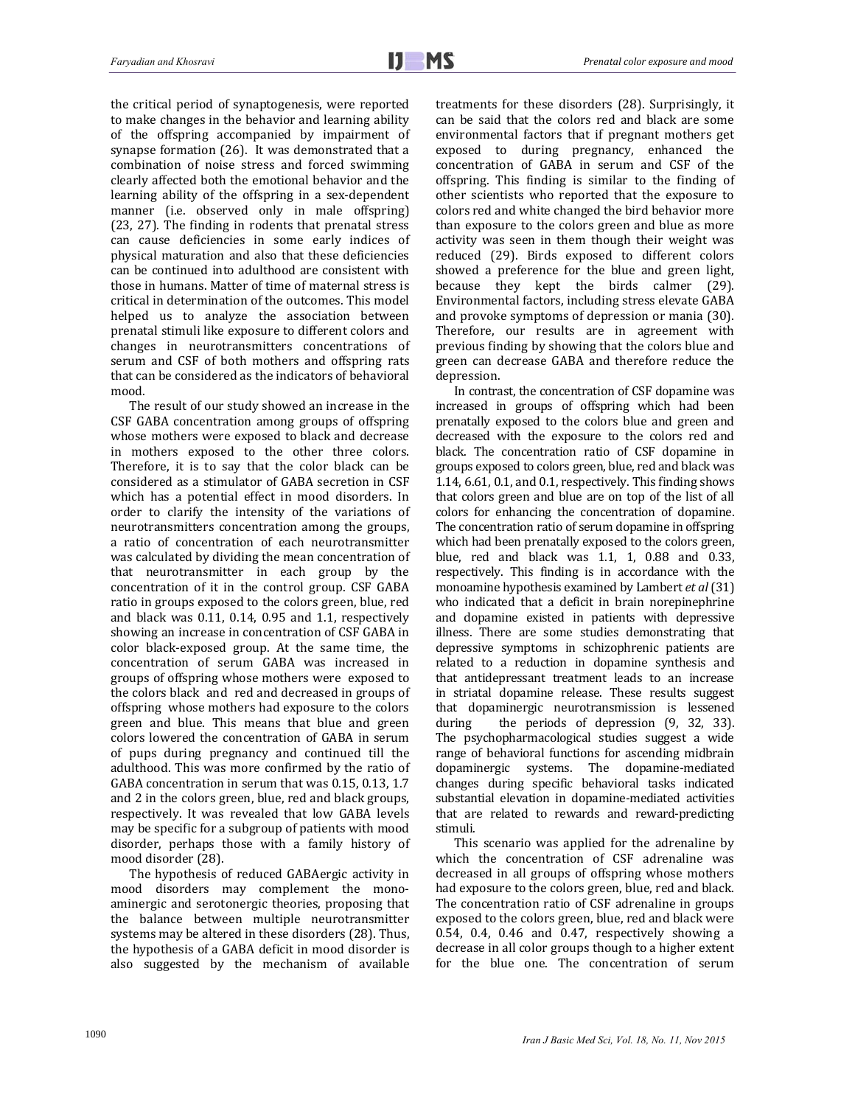the critical period of synaptogenesis, were reported to make changes in the behavior and learning ability of the offspring accompanied by impairment of synapse formation  $(26)$ . It was demonstrated that a combination of noise stress and forced swimming clearly affected both the emotional behavior and the learning ability of the offspring in a sex-dependent manner (i.e. observed only in male offspring)  $(23, 27)$ . The finding in rodents that prenatal stress can cause deficiencies in some early indices of physical maturation and also that these deficiencies can be continued into adulthood are consistent with those in humans. Matter of time of maternal stress is critical in determination of the outcomes. This model helped us to analyze the association between prenatal stimuli like exposure to different colors and changes in neurotransmitters concentrations of serum and CSF of both mothers and offspring rats that can be considered as the indicators of behavioral mood. 

The result of our study showed an increase in the CSF GABA concentration among groups of offspring whose mothers were exposed to black and decrease in mothers exposed to the other three colors. Therefore, it is to say that the color black can be considered as a stimulator of GABA secretion in CSF which has a potential effect in mood disorders. In order to clarify the intensity of the variations of neurotransmitters concentration among the groups, a ratio of concentration of each neurotransmitter was calculated by dividing the mean concentration of that neurotransmitter in each group by the concentration of it in the control group. CSF GABA ratio in groups exposed to the colors green, blue, red and black was  $0.11$ ,  $0.14$ ,  $0.95$  and  $1.1$ , respectively showing an increase in concentration of CSF GABA in color black-exposed group. At the same time, the concentration of serum GABA was increased in groups of offspring whose mothers were exposed to the colors black and red and decreased in groups of offspring whose mothers had exposure to the colors green and blue. This means that blue and green colors lowered the concentration of GABA in serum of pups during pregnancy and continued till the adulthood. This was more confirmed by the ratio of GABA concentration in serum that was 0.15, 0.13, 1.7 and 2 in the colors green, blue, red and black groups, respectively. It was revealed that low GABA levels may be specific for a subgroup of patients with mood disorder, perhaps those with a family history of mood disorder (28).

The hypothesis of reduced GABAergic activity in mood disorders may complement the monoaminergic and serotonergic theories, proposing that the balance between multiple neurotransmitter systems may be altered in these disorders (28). Thus, the hypothesis of a GABA deficit in mood disorder is also suggested by the mechanism of available

treatments for these disorders (28). Surprisingly, it can be said that the colors red and black are some environmental factors that if pregnant mothers get exposed to during pregnancy, enhanced the concentration of GABA in serum and CSF of the offspring. This finding is similar to the finding of other scientists who reported that the exposure to colors red and white changed the bird behavior more than exposure to the colors green and blue as more activity was seen in them though their weight was reduced (29). Birds exposed to different colors showed a preference for the blue and green light, because they kept the birds calmer (29). Environmental factors, including stress elevate GABA and provoke symptoms of depression or mania (30). Therefore, our results are in agreement with previous finding by showing that the colors blue and green can decrease GABA and therefore reduce the depression. 

In contrast, the concentration of CSF dopamine was increased in groups of offspring which had been prenatally exposed to the colors blue and green and decreased with the exposure to the colors red and black. The concentration ratio of CSF dopamine in groups exposed to colors green, blue, red and black was 1.14,  $6.61$ ,  $0.1$ , and  $0.1$ , respectively. This finding shows that colors green and blue are on top of the list of all colors for enhancing the concentration of dopamine. The concentration ratio of serum dopamine in offspring which had been prenatally exposed to the colors green, blue, red and black was  $1.1$ ,  $1$ ,  $0.88$  and  $0.33$ , respectively. This finding is in accordance with the monoamine hypothesis examined by Lambert *et al* (31) who indicated that a deficit in brain norepinephrine and dopamine existed in patients with depressive illness. There are some studies demonstrating that depressive symptoms in schizophrenic patients are related to a reduction in dopamine synthesis and that antidepressant treatment leads to an increase in striatal dopamine release. These results suggest that dopaminergic neurotransmission is lessened during the periods of depression  $(9, 32, 33)$ . The psychopharmacological studies suggest a wide range of behavioral functions for ascending midbrain dopaminergic systems. The dopamine-mediated changes during specific behavioral tasks indicated substantial elevation in dopamine-mediated activities that are related to rewards and reward-predicting stimuli. 

This scenario was applied for the adrenaline by which the concentration of CSF adrenaline was decreased in all groups of offspring whose mothers had exposure to the colors green, blue, red and black. The concentration ratio of CSF adrenaline in groups exposed to the colors green, blue, red and black were  $0.54$ ,  $0.4$ ,  $0.46$  and  $0.47$ , respectively showing a decrease in all color groups though to a higher extent for the blue one. The concentration of serum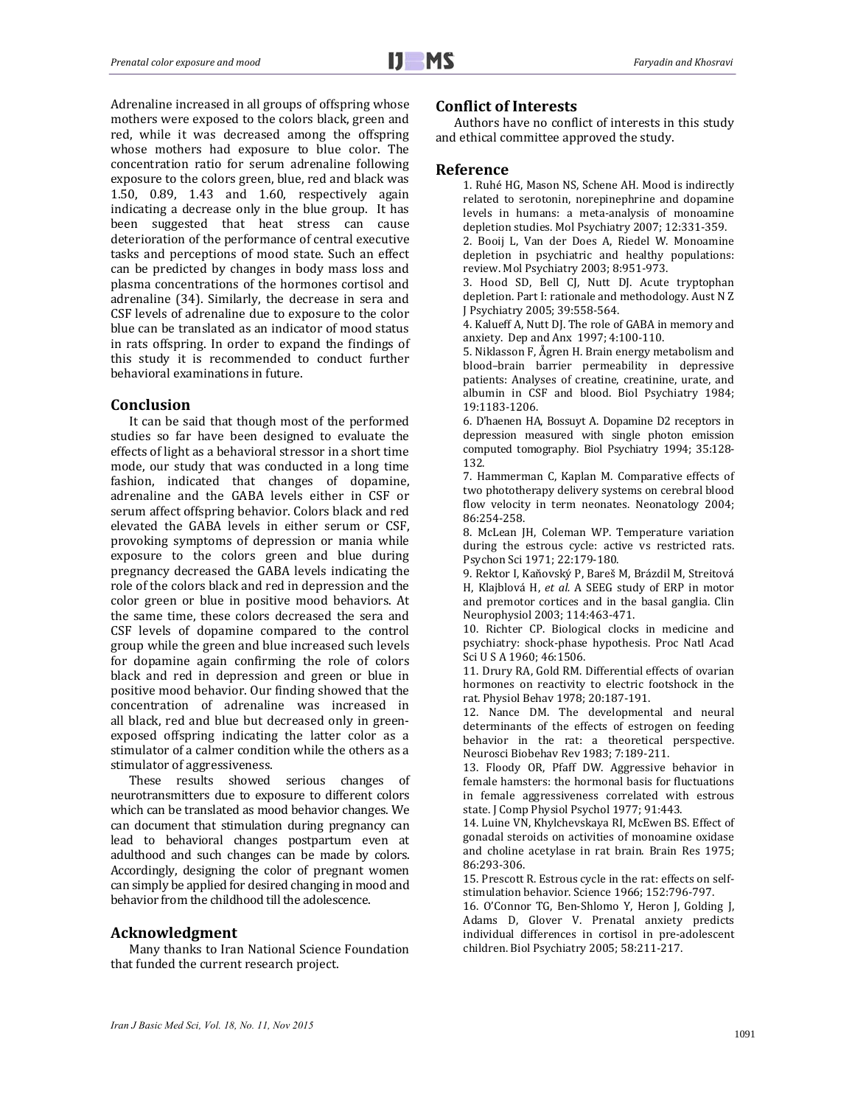Adrenaline increased in all groups of offspring whose mothers were exposed to the colors black, green and red, while it was decreased among the offspring whose mothers had exposure to blue color. The concentration ratio for serum adrenaline following exposure to the colors green, blue, red and black was 1.50, 0.89, 1.43 and 1.60, respectively again indicating a decrease only in the blue group. It has been suggested that heat stress can cause deterioration of the performance of central executive tasks and perceptions of mood state. Such an effect can be predicted by changes in body mass loss and plasma concentrations of the hormones cortisol and adrenaline (34). Similarly, the decrease in sera and CSF levels of adrenaline due to exposure to the color blue can be translated as an indicator of mood status in rats offspring. In order to expand the findings of this study it is recommended to conduct further behavioral examinations in future.

#### **Conclusion**

It can be said that though most of the performed studies so far have been designed to evaluate the effects of light as a behavioral stressor in a short time mode, our study that was conducted in a long time fashion, indicated that changes of dopamine, adrenaline and the GABA levels either in CSF or serum affect offspring behavior. Colors black and red elevated the GABA levels in either serum or CSF, provoking symptoms of depression or mania while exposure to the colors green and blue during pregnancy decreased the GABA levels indicating the role of the colors black and red in depression and the color green or blue in positive mood behaviors. At the same time, these colors decreased the sera and CSF levels of dopamine compared to the control group while the green and blue increased such levels for dopamine again confirming the role of colors black and red in depression and green or blue in positive mood behavior. Our finding showed that the concentration of adrenaline was increased in all black, red and blue but decreased only in greenexposed offspring indicating the latter color as a stimulator of a calmer condition while the others as a stimulator of aggressiveness.

These results showed serious changes of neurotransmitters due to exposure to different colors which can be translated as mood behavior changes. We can document that stimulation during pregnancy can lead to behavioral changes postpartum even at adulthood and such changes can be made by colors. Accordingly, designing the color of pregnant women can simply be applied for desired changing in mood and behavior from the childhood till the adolescence.

### **Acknowledgment**

Many thanks to Iran National Science Foundation that funded the current research project.

#### **Conflict of Interests**

Authors have no conflict of interests in this study and ethical committee approved the study.

#### **Reference**

1. Ruhé HG, Mason NS, Schene AH. Mood is indirectly related to serotonin, norepinephrine and dopamine levels in humans: a meta-analysis of monoamine depletion studies. Mol Psychiatry 2007; 12:331-359. 2. Booij L, Van der Does A, Riedel W, Monoamine

depletion in psychiatric and healthy populations: review. Mol Psychiatry 2003; 8:951-973.

3. Hood SD, Bell CJ, Nutt DJ. Acute tryptophan depletion. Part I: rationale and methodology. Aust N Z J Psychiatry 2005; 39:558-564.

4. Kalueff A, Nutt DJ. The role of GABA in memory and anxiety. Dep and Anx 1997; 4:100-110.

5. Niklasson F, Ågren H. Brain energy metabolism and blood–brain barrier permeability in depressive patients: Analyses of creatine, creatinine, urate, and albumin in CSF and blood. Biol Psychiatry 1984; 19:1183‐1206. 

6. D'haenen HA, Bossuyt A. Dopamine D2 receptors in depression measured with single photon emission computed tomography. Biol Psychiatry 1994; 35:128-132. 

7. Hammerman C, Kaplan M. Comparative effects of two phototherapy delivery systems on cerebral blood flow velocity in term neonates. Neonatology 2004; 86:254‐258. 

8. McLean JH, Coleman WP. Temperature variation during the estrous cycle: active vs restricted rats. Psychon Sci 1971; 22:179-180.

9. Rektor I, Kaňovský P, Bareš M, Brázdil M, Streitová H, Klajblová H, et al. A SEEG study of ERP in motor and premotor cortices and in the basal ganglia. Clin Neurophysiol 2003; 114:463-471.

10. Richter CP. Biological clocks in medicine and psychiatry: shock-phase hypothesis. Proc Natl Acad Sci U S A 1960: 46:1506.

11. Drury RA, Gold RM. Differential effects of ovarian hormones on reactivity to electric footshock in the rat. Physiol Behav 1978; 20:187-191.

12. Nance DM. The developmental and neural determinants of the effects of estrogen on feeding behavior in the rat: a theoretical perspective. Neurosci Biobehav Rev 1983; 7:189-211.

13. Floody OR, Pfaff DW. Aggressive behavior in female hamsters: the hormonal basis for fluctuations in female aggressiveness correlated with estrous state. J Comp Physiol Psychol 1977; 91:443.

14. Luine VN, Khylchevskaya RI, McEwen BS. Effect of gonadal steroids on activities of monoamine oxidase and choline acetylase in rat brain. Brain Res 1975; 86:293‐306. 

15. Prescott R. Estrous cycle in the rat: effects on selfstimulation behavior. Science 1966; 152:796-797.

16. O'Connor TG, Ben-Shlomo Y, Heron J, Golding J, Adams D, Glover V. Prenatal anxiety predicts individual differences in cortisol in pre-adolescent children. Biol Psychiatry 2005; 58:211-217.